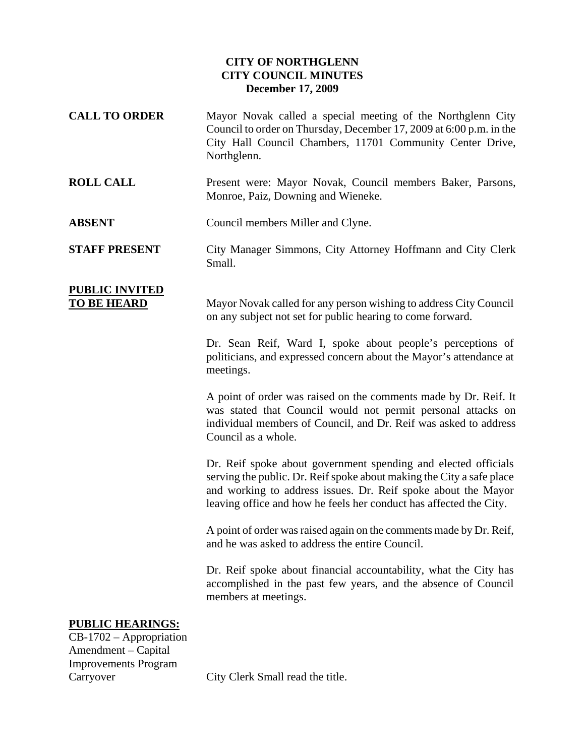## **CITY OF NORTHGLENN CITY COUNCIL MINUTES December 17, 2009**

- **CALL TO ORDER** Mayor Novak called a special meeting of the Northglenn City Council to order on Thursday, December 17, 2009 at 6:00 p.m. in the City Hall Council Chambers, 11701 Community Center Drive, Northglenn.
- **ROLL CALL** Present were: Mayor Novak, Council members Baker, Parsons, Monroe, Paiz, Downing and Wieneke.

**ABSENT** Council members Miller and Clyne.

**STAFF PRESENT** City Manager Simmons, City Attorney Hoffmann and City Clerk Small.

## **PUBLIC INVITED**

**TO BE HEARD** Mayor Novak called for any person wishing to address City Council on any subject not set for public hearing to come forward.

> Dr. Sean Reif, Ward I, spoke about people's perceptions of politicians, and expressed concern about the Mayor's attendance at meetings.

> A point of order was raised on the comments made by Dr. Reif. It was stated that Council would not permit personal attacks on individual members of Council, and Dr. Reif was asked to address Council as a whole.

> Dr. Reif spoke about government spending and elected officials serving the public. Dr. Reif spoke about making the City a safe place and working to address issues. Dr. Reif spoke about the Mayor leaving office and how he feels her conduct has affected the City.

> A point of order was raised again on the comments made by Dr. Reif, and he was asked to address the entire Council.

> Dr. Reif spoke about financial accountability, what the City has accomplished in the past few years, and the absence of Council members at meetings.

## **PUBLIC HEARINGS:**

CB-1702 – Appropriation Amendment – Capital Improvements Program

Carryover City Clerk Small read the title.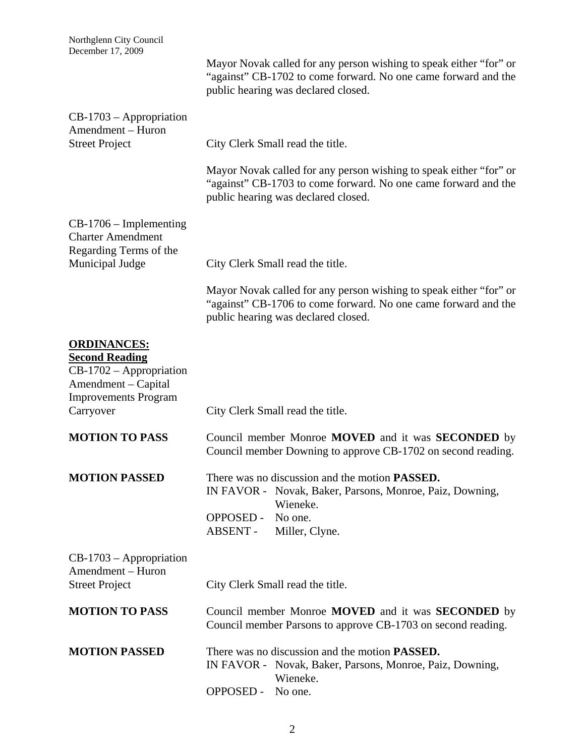| Northglenn City Council<br>December 17, 2009                                                                                         |                                                                                                                                                                             |  |
|--------------------------------------------------------------------------------------------------------------------------------------|-----------------------------------------------------------------------------------------------------------------------------------------------------------------------------|--|
|                                                                                                                                      | Mayor Novak called for any person wishing to speak either "for" or<br>"against" CB-1702 to come forward. No one came forward and the<br>public hearing was declared closed. |  |
| $CB-1703$ – Appropriation<br>Amendment - Huron                                                                                       |                                                                                                                                                                             |  |
| <b>Street Project</b>                                                                                                                | City Clerk Small read the title.                                                                                                                                            |  |
|                                                                                                                                      | Mayor Novak called for any person wishing to speak either "for" or<br>"against" CB-1703 to come forward. No one came forward and the<br>public hearing was declared closed. |  |
| $CB-1706$ – Implementing<br><b>Charter Amendment</b><br>Regarding Terms of the                                                       |                                                                                                                                                                             |  |
| Municipal Judge                                                                                                                      | City Clerk Small read the title.                                                                                                                                            |  |
|                                                                                                                                      | Mayor Novak called for any person wishing to speak either "for" or<br>"against" CB-1706 to come forward. No one came forward and the<br>public hearing was declared closed. |  |
| <b>ORDINANCES:</b><br><b>Second Reading</b><br>$CB-1702 - Approx$<br>Amendment - Capital<br><b>Improvements Program</b><br>Carryover | City Clerk Small read the title.                                                                                                                                            |  |
| <b>MOTION TO PASS</b>                                                                                                                | Council member Monroe MOVED and it was SECONDED by<br>Council member Downing to approve CB-1702 on second reading.                                                          |  |
| <b>MOTION PASSED</b>                                                                                                                 | There was no discussion and the motion <b>PASSED</b> .<br>IN FAVOR - Novak, Baker, Parsons, Monroe, Paiz, Downing,<br>Wieneke.                                              |  |
|                                                                                                                                      | <b>OPPOSED -</b><br>No one.<br>ABSENT -<br>Miller, Clyne.                                                                                                                   |  |
| $CB-1703$ – Appropriation<br>Amendment - Huron                                                                                       |                                                                                                                                                                             |  |
| <b>Street Project</b>                                                                                                                | City Clerk Small read the title.                                                                                                                                            |  |
| <b>MOTION TO PASS</b>                                                                                                                | Council member Monroe <b>MOVED</b> and it was <b>SECONDED</b> by<br>Council member Parsons to approve CB-1703 on second reading.                                            |  |
| <b>MOTION PASSED</b>                                                                                                                 | There was no discussion and the motion <b>PASSED</b> .<br>IN FAVOR - Novak, Baker, Parsons, Monroe, Paiz, Downing,<br>Wieneke.<br><b>OPPOSED -</b><br>No one.               |  |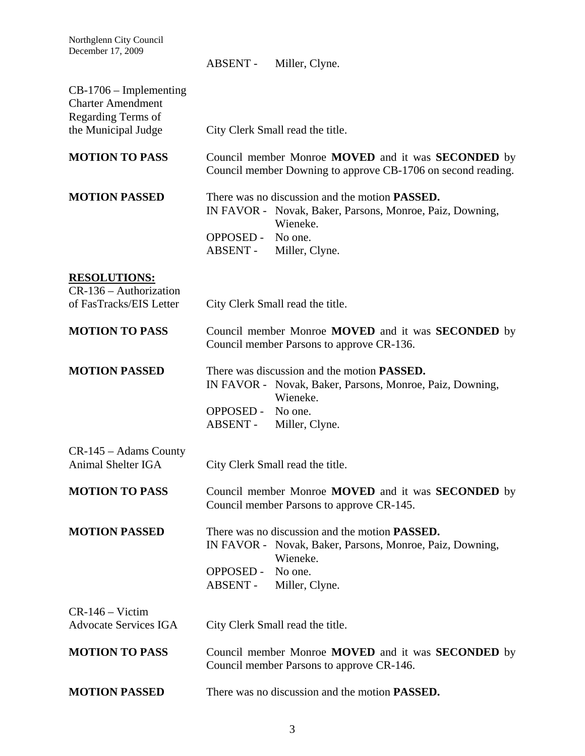Northglenn City Council December 17, 2009

|                                                                            | ABSENT-                       | Miller, Clyne.                                                                                                                   |
|----------------------------------------------------------------------------|-------------------------------|----------------------------------------------------------------------------------------------------------------------------------|
| $CB-1706$ – Implementing<br><b>Charter Amendment</b><br>Regarding Terms of |                               |                                                                                                                                  |
| the Municipal Judge                                                        |                               | City Clerk Small read the title.                                                                                                 |
| <b>MOTION TO PASS</b>                                                      |                               | Council member Monroe <b>MOVED</b> and it was <b>SECONDED</b> by<br>Council member Downing to approve CB-1706 on second reading. |
| <b>MOTION PASSED</b>                                                       |                               | There was no discussion and the motion <b>PASSED</b> .<br>IN FAVOR - Novak, Baker, Parsons, Monroe, Paiz, Downing,<br>Wieneke.   |
|                                                                            | OPPOSED - No one.             | ABSENT - Miller, Clyne.                                                                                                          |
| <b>RESOLUTIONS:</b>                                                        |                               |                                                                                                                                  |
| $CR-136 - Authorization$<br>of FasTracks/EIS Letter                        |                               | City Clerk Small read the title.                                                                                                 |
| <b>MOTION TO PASS</b>                                                      |                               | Council member Monroe MOVED and it was SECONDED by<br>Council member Parsons to approve CR-136.                                  |
| <b>MOTION PASSED</b>                                                       |                               | There was discussion and the motion <b>PASSED</b> .<br>IN FAVOR - Novak, Baker, Parsons, Monroe, Paiz, Downing,<br>Wieneke.      |
|                                                                            | OPPOSED - No one.<br>ABSENT - | Miller, Clyne.                                                                                                                   |
| $CR-145 - Adams County$<br>Animal Shelter IGA                              |                               | City Clerk Small read the title.                                                                                                 |
| <b>MOTION TO PASS</b>                                                      |                               | Council member Monroe MOVED and it was SECONDED by<br>Council member Parsons to approve CR-145.                                  |
| <b>MOTION PASSED</b>                                                       |                               | There was no discussion and the motion <b>PASSED</b> .<br>IN FAVOR - Novak, Baker, Parsons, Monroe, Paiz, Downing,<br>Wieneke.   |
|                                                                            | <b>OPPOSED -</b><br>ABSENT -  | No one.<br>Miller, Clyne.                                                                                                        |
| $CR-146 - Victim$<br><b>Advocate Services IGA</b>                          |                               | City Clerk Small read the title.                                                                                                 |
| <b>MOTION TO PASS</b>                                                      |                               | Council member Monroe MOVED and it was <b>SECONDED</b> by<br>Council member Parsons to approve CR-146.                           |
| <b>MOTION PASSED</b>                                                       |                               | There was no discussion and the motion <b>PASSED.</b>                                                                            |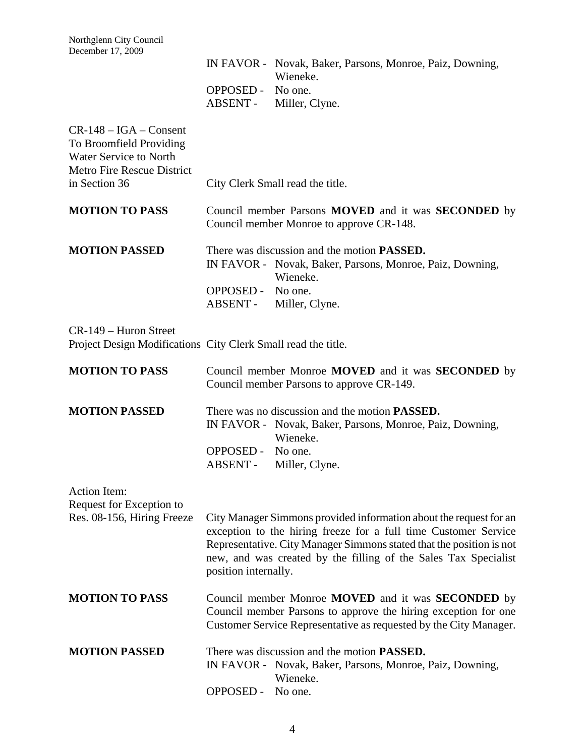|                                                                                                                                      |                               | IN FAVOR - Novak, Baker, Parsons, Monroe, Paiz, Downing,<br>Wieneke.                                                                                                                                                                                                             |
|--------------------------------------------------------------------------------------------------------------------------------------|-------------------------------|----------------------------------------------------------------------------------------------------------------------------------------------------------------------------------------------------------------------------------------------------------------------------------|
|                                                                                                                                      | OPPOSED - No one.             | ABSENT - Miller, Clyne.                                                                                                                                                                                                                                                          |
| $CR-148 - IGA - Constant$<br>To Broomfield Providing<br><b>Water Service to North</b><br>Metro Fire Rescue District<br>in Section 36 |                               | City Clerk Small read the title.                                                                                                                                                                                                                                                 |
| <b>MOTION TO PASS</b>                                                                                                                |                               | Council member Parsons <b>MOVED</b> and it was <b>SECONDED</b> by<br>Council member Monroe to approve CR-148.                                                                                                                                                                    |
| <b>MOTION PASSED</b>                                                                                                                 | OPPOSED - No one.             | There was discussion and the motion <b>PASSED</b> .<br>IN FAVOR - Novak, Baker, Parsons, Monroe, Paiz, Downing,<br>Wieneke.<br>ABSENT - Miller, Clyne.                                                                                                                           |
| CR-149 - Huron Street<br>Project Design Modifications City Clerk Small read the title.                                               |                               |                                                                                                                                                                                                                                                                                  |
| <b>MOTION TO PASS</b>                                                                                                                |                               | Council member Monroe MOVED and it was SECONDED by<br>Council member Parsons to approve CR-149.                                                                                                                                                                                  |
| <b>MOTION PASSED</b>                                                                                                                 | OPPOSED - No one.<br>ABSENT - | There was no discussion and the motion <b>PASSED</b> .<br>IN FAVOR - Novak, Baker, Parsons, Monroe, Paiz, Downing,<br>Wieneke.<br>Miller, Clyne.                                                                                                                                 |
| Action Item:<br>Request for Exception to<br>Res. 08-156, Hiring Freeze                                                               | position internally.          | City Manager Simmons provided information about the request for an<br>exception to the hiring freeze for a full time Customer Service<br>Representative. City Manager Simmons stated that the position is not<br>new, and was created by the filling of the Sales Tax Specialist |
| <b>MOTION TO PASS</b>                                                                                                                |                               | Council member Monroe MOVED and it was SECONDED by<br>Council member Parsons to approve the hiring exception for one<br>Customer Service Representative as requested by the City Manager.                                                                                        |
| <b>MOTION PASSED</b>                                                                                                                 | <b>OPPOSED -</b>              | There was discussion and the motion <b>PASSED</b> .<br>IN FAVOR - Novak, Baker, Parsons, Monroe, Paiz, Downing,<br>Wieneke.<br>No one.                                                                                                                                           |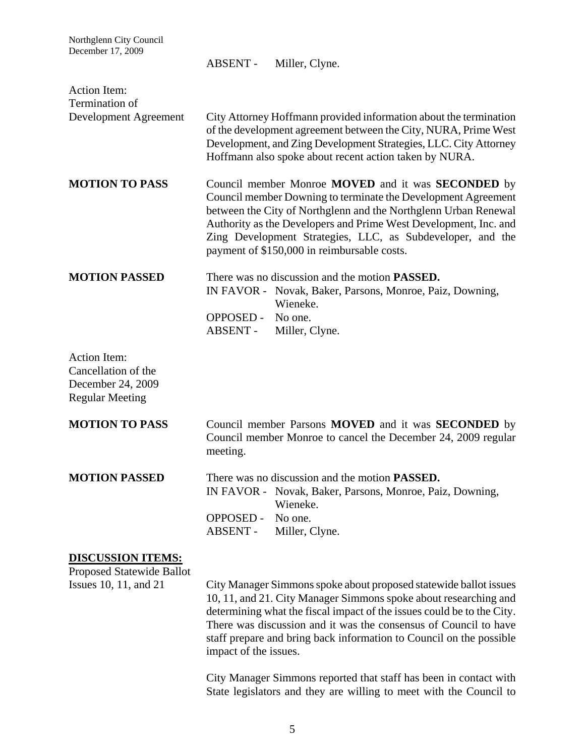| Northglenn City Council<br>December 17, 2009                                              | Miller, Clyne.<br>ABSENT -                                                                                                                                                                                                                                                                                                                                                                                                                                                                                                     |
|-------------------------------------------------------------------------------------------|--------------------------------------------------------------------------------------------------------------------------------------------------------------------------------------------------------------------------------------------------------------------------------------------------------------------------------------------------------------------------------------------------------------------------------------------------------------------------------------------------------------------------------|
| <b>Action Item:</b><br>Termination of<br>Development Agreement                            | City Attorney Hoffmann provided information about the termination<br>of the development agreement between the City, NURA, Prime West<br>Development, and Zing Development Strategies, LLC. City Attorney<br>Hoffmann also spoke about recent action taken by NURA.                                                                                                                                                                                                                                                             |
| <b>MOTION TO PASS</b>                                                                     | Council member Monroe MOVED and it was SECONDED by<br>Council member Downing to terminate the Development Agreement<br>between the City of Northglenn and the Northglenn Urban Renewal<br>Authority as the Developers and Prime West Development, Inc. and<br>Zing Development Strategies, LLC, as Subdeveloper, and the<br>payment of \$150,000 in reimbursable costs.                                                                                                                                                        |
| <b>MOTION PASSED</b>                                                                      | There was no discussion and the motion <b>PASSED</b> .<br>IN FAVOR - Novak, Baker, Parsons, Monroe, Paiz, Downing,<br>Wieneke.<br>OPPOSED - No one.<br>ABSENT -<br>Miller, Clyne.                                                                                                                                                                                                                                                                                                                                              |
| <b>Action Item:</b><br>Cancellation of the<br>December 24, 2009<br><b>Regular Meeting</b> |                                                                                                                                                                                                                                                                                                                                                                                                                                                                                                                                |
| <b>MOTION TO PASS</b>                                                                     | Council member Parsons <b>MOVED</b> and it was <b>SECONDED</b> by<br>Council member Monroe to cancel the December 24, 2009 regular<br>meeting.                                                                                                                                                                                                                                                                                                                                                                                 |
| <b>MOTION PASSED</b>                                                                      | There was no discussion and the motion <b>PASSED</b> .<br>IN FAVOR - Novak, Baker, Parsons, Monroe, Paiz, Downing,<br>Wieneke.<br><b>OPPOSED -</b><br>No one.<br><b>ABSENT -</b><br>Miller, Clyne.                                                                                                                                                                                                                                                                                                                             |
| <b>DISCUSSION ITEMS:</b><br><b>Proposed Statewide Ballot</b><br>Issues 10, 11, and 21     | City Manager Simmons spoke about proposed statewide ballot issues<br>10, 11, and 21. City Manager Simmons spoke about researching and<br>determining what the fiscal impact of the issues could be to the City.<br>There was discussion and it was the consensus of Council to have<br>staff prepare and bring back information to Council on the possible<br>impact of the issues.<br>City Manager Simmons reported that staff has been in contact with<br>State legislators and they are willing to meet with the Council to |